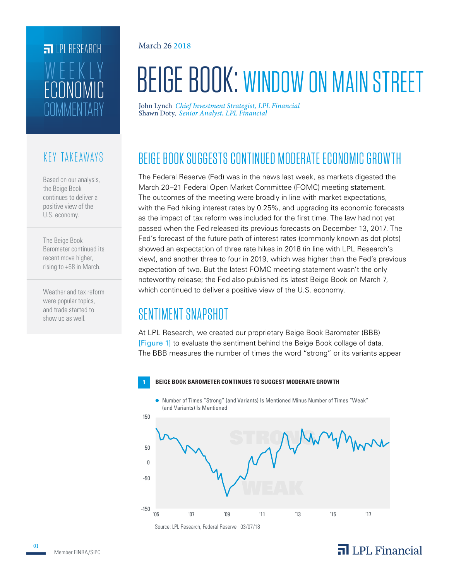# **FILPI RESEARCH** L'HMMENTAR' ECONOMIC WEEKLY

#### KEY TAKEAWAYS

Based on our analysis, the Beige Book continues to deliver a positive view of the U.S. economy.

The Beige Book Barometer continued its recent move higher, rising to +68 in March.

Weather and tax reform were popular topics, and trade started to show up as well.

March 26 2018

# BEIGE BOOK: WINDOW ON MAIN STREET

Shawn Doty, *Senior Analyst, LPL Financial* John Lynch *Chief Investment Strategist, LPL Financial*

## BEIGE BOOK SUGGESTS CONTINUED MODERATE ECONOMIC GROWTH

The Federal Reserve (Fed) was in the news last week, as markets digested the March 20–21 Federal Open Market Committee (FOMC) meeting statement. The outcomes of the meeting were broadly in line with market expectations, with the Fed hiking interest rates by 0.25%, and upgrading its economic forecasts as the impact of tax reform was included for the first time. The law had not yet passed when the Fed released its previous forecasts on December 13, 2017. The Fed's forecast of the future path of interest rates (commonly known as dot plots) showed an expectation of three rate hikes in 2018 (in line with LPL Research's view), and another three to four in 2019, which was higher than the Fed's previous expectation of two. But the latest FOMC meeting statement wasn't the only noteworthy release; the Fed also published its latest Beige Book on March 7, which continued to deliver a positive view of the U.S. economy.

## SENTIMENT SNAPSHOT

At LPL Research, we created our proprietary Beige Book Barometer (BBB) [Figure 1] to evaluate the sentiment behind the Beige Book collage of data. The BBB measures the number of times the word "strong" or its variants appear

#### **1 BEIGE BOOK BAROMETER CONTINUES TO SUGGEST MODERATE GROWTH**

Number of Times "Strong" (and Variants) Is Mentioned Minus Number of Times "Weak" (and Variants) Is Mentioned



#### $\overline{\mathbf{a}}$  LPL Financial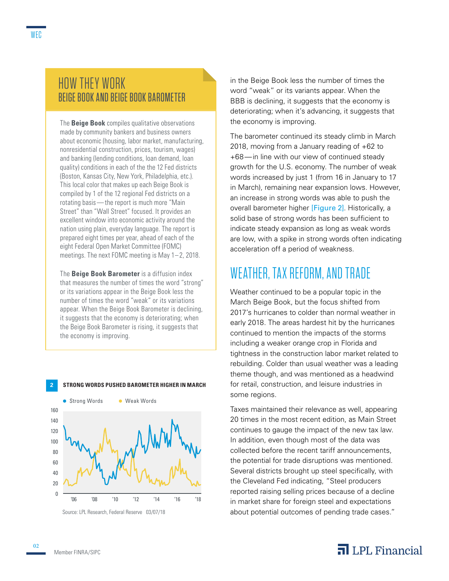#### HOW THEY WORK BEIGE BOOK AND BEIGE BOOK BAROMETER

The **Beige Book** compiles qualitative observations made by community bankers and business owners about economic (housing, labor market, manufacturing, nonresidential construction, prices, tourism, wages) and banking (lending conditions, loan demand, loan quality) conditions in each of the the 12 Fed districts (Boston, Kansas City, New York, Philadelphia, etc.). This local color that makes up each Beige Book is compiled by 1 of the 12 regional Fed districts on a rotating basis—the report is much more "Main Street" than "Wall Street" focused. It provides an excellent window into economic activity around the nation using plain, everyday language. The report is prepared eight times per year, ahead of each of the eight Federal Open Market Committee (FOMC) meetings. The next FOMC meeting is May 1– 2, 2018.

The **Beige Book Barometer** is a diffusion index that measures the number of times the word "strong" or its variations appear in the Beige Book less the number of times the word "weak" or its variations appear. When the Beige Book Barometer is declining, it suggests that the economy is deteriorating; when the Beige Book Barometer is rising, it suggests that the economy is improving.

**2 STRONG WORDS PUSHED BAROMETER HIGHER IN MARCH**



Source: LPL Research, Federal Reserve 03/07/18

in the Beige Book less the number of times the word "weak" or its variants appear. When the BBB is declining, it suggests that the economy is deteriorating; when it's advancing, it suggests that the economy is improving.

The barometer continued its steady climb in March 2018, moving from a January reading of +62 to +68—in line with our view of continued steady growth for the U.S. economy. The number of weak words increased by just 1 (from 16 in January to 17 in March), remaining near expansion lows. However, an increase in strong words was able to push the overall barometer higher [Figure 2]. Historically, a solid base of strong words has been sufficient to indicate steady expansion as long as weak words are low, with a spike in strong words often indicating acceleration off a period of weakness.

## WEATHER, TAX REFORM, AND TRADE

Weather continued to be a popular topic in the March Beige Book, but the focus shifted from 2017's hurricanes to colder than normal weather in early 2018. The areas hardest hit by the hurricanes continued to mention the impacts of the storms including a weaker orange crop in Florida and tightness in the construction labor market related to rebuilding. Colder than usual weather was a leading theme though, and was mentioned as a headwind for retail, construction, and leisure industries in some regions.

Taxes maintained their relevance as well, appearing 20 times in the most recent edition, as Main Street continues to gauge the impact of the new tax law. In addition, even though most of the data was collected before the recent tariff announcements, the potential for trade disruptions was mentioned. Several districts brought up steel specifically, with the Cleveland Fed indicating, "Steel producers reported raising selling prices because of a decline in market share for foreign steel and expectations about potential outcomes of pending trade cases."

#### $\overline{\mathbf{a}}$  LPL Financial

02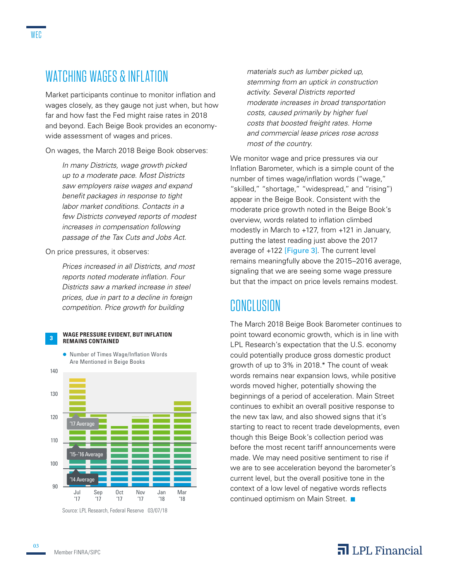### WATCHING WAGES & INFLATION

Market participants continue to monitor inflation and wages closely, as they gauge not just when, but how far and how fast the Fed might raise rates in 2018 and beyond. Each Beige Book provides an economywide assessment of wages and prices.

On wages, the March 2018 Beige Book observes:

*In many Districts, wage growth picked up to a moderate pace. Most Districts saw employers raise wages and expand benefit packages in response to tight labor market conditions. Contacts in a few Districts conveyed reports of modest increases in compensation following passage of the Tax Cuts and Jobs Act.*

On price pressures, it observes:

*Prices increased in all Districts, and most reports noted moderate inflation. Four Districts saw a marked increase in steel prices, due in part to a decline in foreign competition. Price growth for building* 



● Number of Times Wage/Inflation Words



Source: LPL Research, Federal Reserve 03/07/18

*materials such as lumber picked up, stemming from an uptick in construction activity. Several Districts reported moderate increases in broad transportation costs, caused primarily by higher fuel costs that boosted freight rates. Home and commercial lease prices rose across most of the country.*

We monitor wage and price pressures via our Inflation Barometer, which is a simple count of the number of times wage/inflation words ("wage," "skilled," "shortage," "widespread," and "rising") appear in the Beige Book. Consistent with the moderate price growth noted in the Beige Book's overview, words related to inflation climbed modestly in March to +127, from +121 in January, putting the latest reading just above the 2017 average of +122 [Figure 3]. The current level remains meaningfully above the 2015–2016 average, signaling that we are seeing some wage pressure but that the impact on price levels remains modest.

### CONCLUSION

The March 2018 Beige Book Barometer continues to point toward economic growth, which is in line with LPL Research's expectation that the U.S. economy could potentially produce gross domestic product growth of up to 3% in 2018.\* The count of weak words remains near expansion lows, while positive words moved higher, potentially showing the beginnings of a period of acceleration. Main Street continues to exhibit an overall positive response to the new tax law, and also showed signs that it's starting to react to recent trade developments, even though this Beige Book's collection period was before the most recent tariff announcements were made. We may need positive sentiment to rise if we are to see acceleration beyond the barometer's current level, but the overall positive tone in the context of a low level of negative words reflects continued optimism on Main Street.

#### Member FINRA/SIPC

#### $\overline{\mathbf{a}}$  LPL Financial